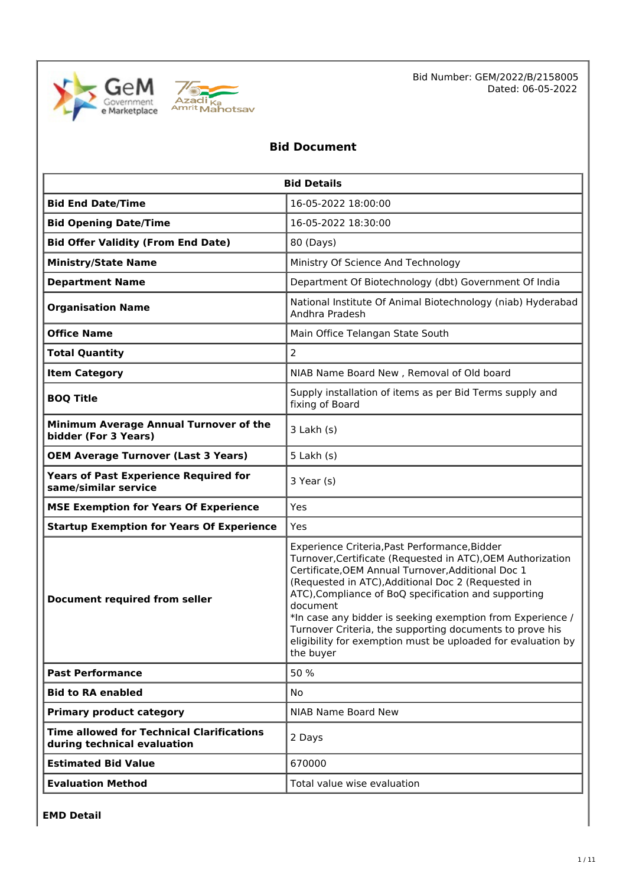



Bid Number: GEM/2022/B/2158005 Dated: 06-05-2022

## **Bid Document**

| <b>Bid Details</b>                                                              |                                                                                                                                                                                                                                                                                                                                                                                                                                                                                                     |  |  |
|---------------------------------------------------------------------------------|-----------------------------------------------------------------------------------------------------------------------------------------------------------------------------------------------------------------------------------------------------------------------------------------------------------------------------------------------------------------------------------------------------------------------------------------------------------------------------------------------------|--|--|
| <b>Bid End Date/Time</b>                                                        | 16-05-2022 18:00:00                                                                                                                                                                                                                                                                                                                                                                                                                                                                                 |  |  |
| <b>Bid Opening Date/Time</b>                                                    | 16-05-2022 18:30:00                                                                                                                                                                                                                                                                                                                                                                                                                                                                                 |  |  |
| <b>Bid Offer Validity (From End Date)</b>                                       | 80 (Days)                                                                                                                                                                                                                                                                                                                                                                                                                                                                                           |  |  |
| <b>Ministry/State Name</b>                                                      | Ministry Of Science And Technology                                                                                                                                                                                                                                                                                                                                                                                                                                                                  |  |  |
| <b>Department Name</b>                                                          | Department Of Biotechnology (dbt) Government Of India                                                                                                                                                                                                                                                                                                                                                                                                                                               |  |  |
| <b>Organisation Name</b>                                                        | National Institute Of Animal Biotechnology (niab) Hyderabad<br>Andhra Pradesh                                                                                                                                                                                                                                                                                                                                                                                                                       |  |  |
| <b>Office Name</b>                                                              | Main Office Telangan State South                                                                                                                                                                                                                                                                                                                                                                                                                                                                    |  |  |
| <b>Total Quantity</b>                                                           | $\overline{2}$                                                                                                                                                                                                                                                                                                                                                                                                                                                                                      |  |  |
| <b>Item Category</b>                                                            | NIAB Name Board New, Removal of Old board                                                                                                                                                                                                                                                                                                                                                                                                                                                           |  |  |
| <b>BOQ Title</b>                                                                | Supply installation of items as per Bid Terms supply and<br>fixing of Board                                                                                                                                                                                                                                                                                                                                                                                                                         |  |  |
| Minimum Average Annual Turnover of the<br>bidder (For 3 Years)                  | $3$ Lakh $(s)$                                                                                                                                                                                                                                                                                                                                                                                                                                                                                      |  |  |
| <b>OEM Average Turnover (Last 3 Years)</b>                                      | $5$ Lakh $(s)$                                                                                                                                                                                                                                                                                                                                                                                                                                                                                      |  |  |
| <b>Years of Past Experience Required for</b><br>same/similar service            | 3 Year (s)                                                                                                                                                                                                                                                                                                                                                                                                                                                                                          |  |  |
| <b>MSE Exemption for Years Of Experience</b>                                    | Yes                                                                                                                                                                                                                                                                                                                                                                                                                                                                                                 |  |  |
| <b>Startup Exemption for Years Of Experience</b>                                | Yes                                                                                                                                                                                                                                                                                                                                                                                                                                                                                                 |  |  |
| <b>Document required from seller</b>                                            | Experience Criteria, Past Performance, Bidder<br>Turnover, Certificate (Requested in ATC), OEM Authorization<br>Certificate, OEM Annual Turnover, Additional Doc 1<br>(Requested in ATC), Additional Doc 2 (Requested in<br>ATC), Compliance of BoQ specification and supporting<br>document<br>*In case any bidder is seeking exemption from Experience /<br>Turnover Criteria, the supporting documents to prove his<br>eligibility for exemption must be uploaded for evaluation by<br>the buyer |  |  |
| <b>Past Performance</b>                                                         | 50 %                                                                                                                                                                                                                                                                                                                                                                                                                                                                                                |  |  |
| <b>Bid to RA enabled</b>                                                        | <b>No</b>                                                                                                                                                                                                                                                                                                                                                                                                                                                                                           |  |  |
| <b>Primary product category</b>                                                 | NIAB Name Board New                                                                                                                                                                                                                                                                                                                                                                                                                                                                                 |  |  |
| <b>Time allowed for Technical Clarifications</b><br>during technical evaluation | 2 Days                                                                                                                                                                                                                                                                                                                                                                                                                                                                                              |  |  |
| <b>Estimated Bid Value</b>                                                      | 670000                                                                                                                                                                                                                                                                                                                                                                                                                                                                                              |  |  |
| <b>Evaluation Method</b>                                                        | Total value wise evaluation                                                                                                                                                                                                                                                                                                                                                                                                                                                                         |  |  |

**EMD Detail**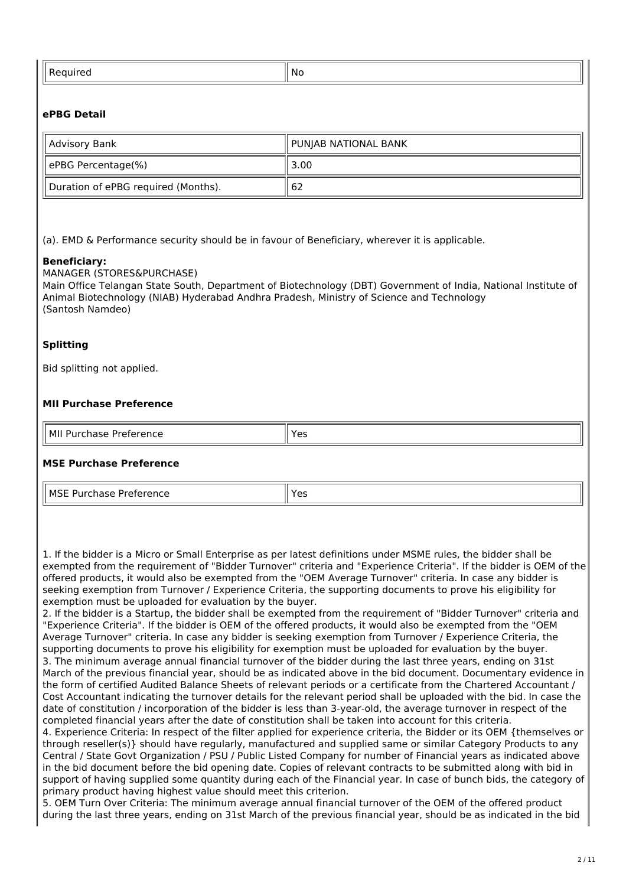| . | <b>No</b><br>$\sim$ |
|---|---------------------|
|   |                     |
|   |                     |

## **ePBG Detail**

| Advisory Bank                       | PUNJAB NATIONAL BANK |  |
|-------------------------------------|----------------------|--|
| ePBG Percentage(%)                  | 3.00                 |  |
| Duration of ePBG required (Months). | 62                   |  |

(a). EMD & Performance security should be in favour of Beneficiary, wherever it is applicable.

#### **Beneficiary:**

MANAGER (STORES&PURCHASE)

Main Office Telangan State South, Department of Biotechnology (DBT) Government of India, National Institute of Animal Biotechnology (NIAB) Hyderabad Andhra Pradesh, Ministry of Science and Technology (Santosh Namdeo)

#### **Splitting**

Bid splitting not applied.

#### **MII Purchase Preference**

| МII                 | ⊾ہ∨ |
|---------------------|-----|
| Purchase Preference | ີ   |

#### **MSE Purchase Preference**

MSE Purchase Preference Vestillaria Vestillaria Vestillaria Vestillaria Vestillaria Vestillaria Vestillaria Ve

1. If the bidder is a Micro or Small Enterprise as per latest definitions under MSME rules, the bidder shall be exempted from the requirement of "Bidder Turnover" criteria and "Experience Criteria". If the bidder is OEM of the offered products, it would also be exempted from the "OEM Average Turnover" criteria. In case any bidder is seeking exemption from Turnover / Experience Criteria, the supporting documents to prove his eligibility for exemption must be uploaded for evaluation by the buyer.

2. If the bidder is a Startup, the bidder shall be exempted from the requirement of "Bidder Turnover" criteria and "Experience Criteria". If the bidder is OEM of the offered products, it would also be exempted from the "OEM Average Turnover" criteria. In case any bidder is seeking exemption from Turnover / Experience Criteria, the supporting documents to prove his eligibility for exemption must be uploaded for evaluation by the buyer. 3. The minimum average annual financial turnover of the bidder during the last three years, ending on 31st March of the previous financial year, should be as indicated above in the bid document. Documentary evidence in the form of certified Audited Balance Sheets of relevant periods or a certificate from the Chartered Accountant / Cost Accountant indicating the turnover details for the relevant period shall be uploaded with the bid. In case the date of constitution / incorporation of the bidder is less than 3-year-old, the average turnover in respect of the completed financial years after the date of constitution shall be taken into account for this criteria.

4. Experience Criteria: In respect of the filter applied for experience criteria, the Bidder or its OEM {themselves or through reseller(s)} should have regularly, manufactured and supplied same or similar Category Products to any Central / State Govt Organization / PSU / Public Listed Company for number of Financial years as indicated above in the bid document before the bid opening date. Copies of relevant contracts to be submitted along with bid in support of having supplied some quantity during each of the Financial year. In case of bunch bids, the category of primary product having highest value should meet this criterion.

5. OEM Turn Over Criteria: The minimum average annual financial turnover of the OEM of the offered product during the last three years, ending on 31st March of the previous financial year, should be as indicated in the bid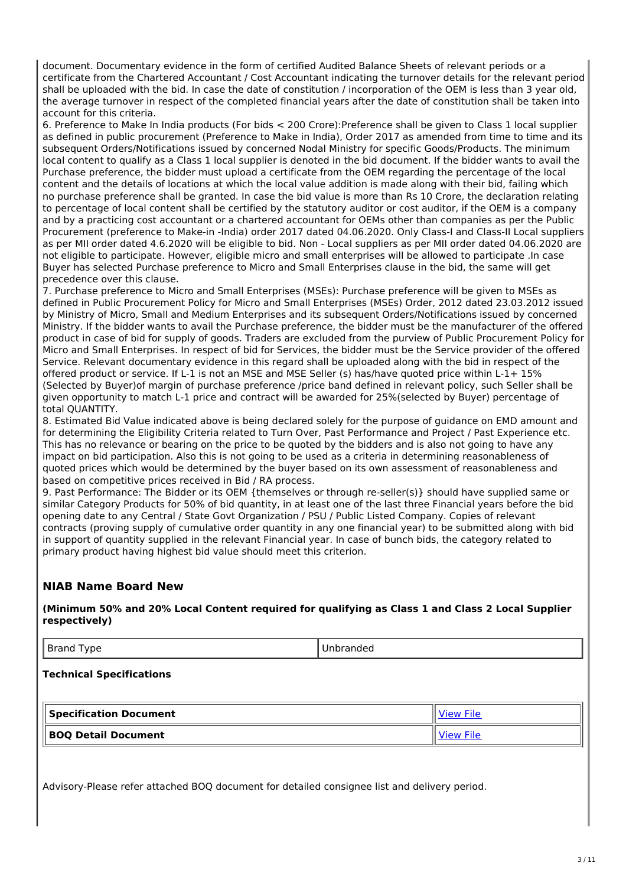document. Documentary evidence in the form of certified Audited Balance Sheets of relevant periods or a certificate from the Chartered Accountant / Cost Accountant indicating the turnover details for the relevant period shall be uploaded with the bid. In case the date of constitution / incorporation of the OEM is less than 3 year old, the average turnover in respect of the completed financial years after the date of constitution shall be taken into account for this criteria.

6. Preference to Make In India products (For bids < 200 Crore):Preference shall be given to Class 1 local supplier as defined in public procurement (Preference to Make in India), Order 2017 as amended from time to time and its subsequent Orders/Notifications issued by concerned Nodal Ministry for specific Goods/Products. The minimum local content to qualify as a Class 1 local supplier is denoted in the bid document. If the bidder wants to avail the Purchase preference, the bidder must upload a certificate from the OEM regarding the percentage of the local content and the details of locations at which the local value addition is made along with their bid, failing which no purchase preference shall be granted. In case the bid value is more than Rs 10 Crore, the declaration relating to percentage of local content shall be certified by the statutory auditor or cost auditor, if the OEM is a company and by a practicing cost accountant or a chartered accountant for OEMs other than companies as per the Public Procurement (preference to Make-in -India) order 2017 dated 04.06.2020. Only Class-I and Class-II Local suppliers as per MII order dated 4.6.2020 will be eligible to bid. Non - Local suppliers as per MII order dated 04.06.2020 are not eligible to participate. However, eligible micro and small enterprises will be allowed to participate .In case Buyer has selected Purchase preference to Micro and Small Enterprises clause in the bid, the same will get precedence over this clause.

7. Purchase preference to Micro and Small Enterprises (MSEs): Purchase preference will be given to MSEs as defined in Public Procurement Policy for Micro and Small Enterprises (MSEs) Order, 2012 dated 23.03.2012 issued by Ministry of Micro, Small and Medium Enterprises and its subsequent Orders/Notifications issued by concerned Ministry. If the bidder wants to avail the Purchase preference, the bidder must be the manufacturer of the offered product in case of bid for supply of goods. Traders are excluded from the purview of Public Procurement Policy for Micro and Small Enterprises. In respect of bid for Services, the bidder must be the Service provider of the offered Service. Relevant documentary evidence in this regard shall be uploaded along with the bid in respect of the offered product or service. If L-1 is not an MSE and MSE Seller (s) has/have quoted price within L-1+ 15% (Selected by Buyer)of margin of purchase preference /price band defined in relevant policy, such Seller shall be given opportunity to match L-1 price and contract will be awarded for 25%(selected by Buyer) percentage of total QUANTITY.

8. Estimated Bid Value indicated above is being declared solely for the purpose of guidance on EMD amount and for determining the Eligibility Criteria related to Turn Over, Past Performance and Project / Past Experience etc. This has no relevance or bearing on the price to be quoted by the bidders and is also not going to have any impact on bid participation. Also this is not going to be used as a criteria in determining reasonableness of quoted prices which would be determined by the buyer based on its own assessment of reasonableness and based on competitive prices received in Bid / RA process.

9. Past Performance: The Bidder or its OEM {themselves or through re-seller(s)} should have supplied same or similar Category Products for 50% of bid quantity, in at least one of the last three Financial years before the bid opening date to any Central / State Govt Organization / PSU / Public Listed Company. Copies of relevant contracts (proving supply of cumulative order quantity in any one financial year) to be submitted along with bid in support of quantity supplied in the relevant Financial year. In case of bunch bids, the category related to primary product having highest bid value should meet this criterion.

## **NIAB Name Board New**

**(Minimum 50% and 20% Local Content required for qualifying as Class 1 and Class 2 Local Supplier respectively)**

Brand Type **Unbranded** 

**Technical Specifications**

| <b>Specification Document</b> | <b>View File</b> |
|-------------------------------|------------------|
| BOQ Detail Document           | <b>View File</b> |

Advisory-Please refer attached BOQ document for detailed consignee list and delivery period.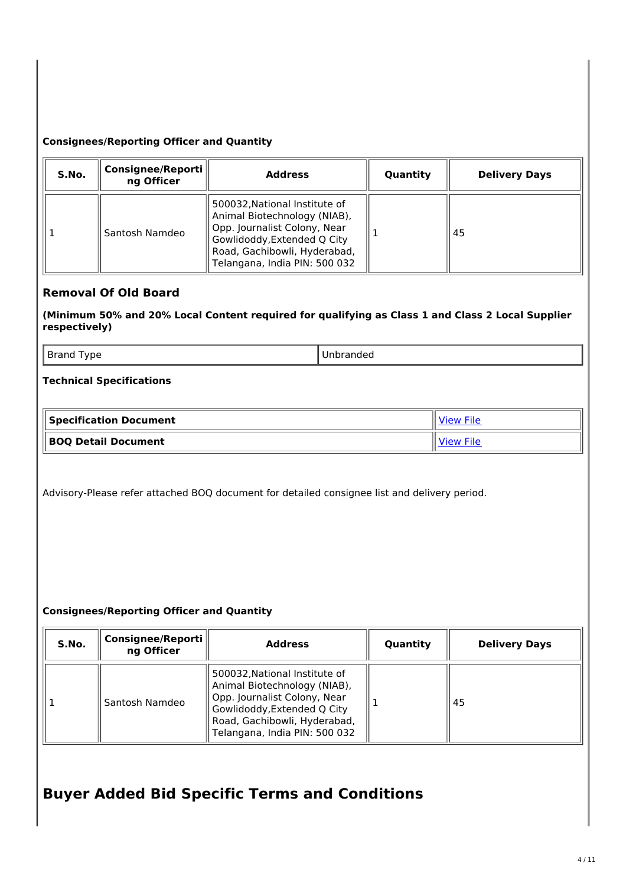### **Consignees/Reporting Officer and Quantity**

| S.No. | Consignee/Reporti<br>ng Officer | <b>Address</b>                                                                                                                                                                                | Quantity | <b>Delivery Days</b> |
|-------|---------------------------------|-----------------------------------------------------------------------------------------------------------------------------------------------------------------------------------------------|----------|----------------------|
|       | Santosh Namdeo                  | 500032, National Institute of<br>Animal Biotechnology (NIAB),<br>Opp. Journalist Colony, Near<br>Gowlidoddy, Extended Q City<br>Road, Gachibowli, Hyderabad,<br>Telangana, India PIN: 500 032 |          | 45                   |

## **Removal Of Old Board**

**(Minimum 50% and 20% Local Content required for qualifying as Class 1 and Class 2 Local Supplier respectively)**

Brand Type **Disk Report Control** Unbranded

#### **Technical Specifications**

| Specification Document | View File        |
|------------------------|------------------|
| BOQ Detail Document    | <b>View File</b> |

Advisory-Please refer attached BOQ document for detailed consignee list and delivery period.

#### **Consignees/Reporting Officer and Quantity**

| S.No. | <b>Consignee/Reporti</b><br>ng Officer | <b>Address</b>                                                                                                                                                                                | Quantity | <b>Delivery Days</b> |
|-------|----------------------------------------|-----------------------------------------------------------------------------------------------------------------------------------------------------------------------------------------------|----------|----------------------|
|       | Santosh Namdeo                         | 500032, National Institute of<br>Animal Biotechnology (NIAB),<br>Opp. Journalist Colony, Near<br>Gowlidoddy, Extended Q City<br>Road, Gachibowli, Hyderabad,<br>Telangana, India PIN: 500 032 |          | 45                   |

# **Buyer Added Bid Specific Terms and Conditions**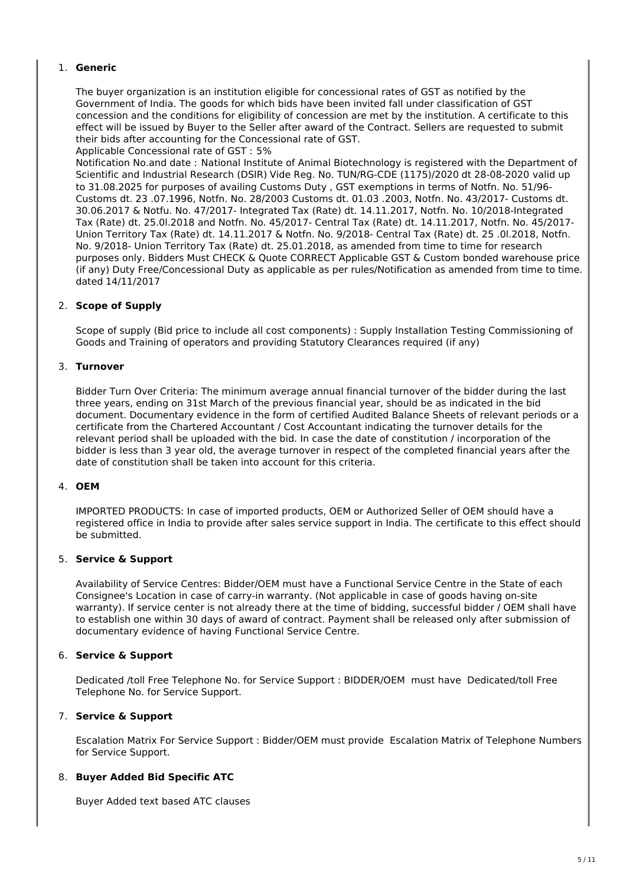#### 1. **Generic**

The buyer organization is an institution eligible for concessional rates of GST as notified by the Government of India. The goods for which bids have been invited fall under classification of GST concession and the conditions for eligibility of concession are met by the institution. A certificate to this effect will be issued by Buyer to the Seller after award of the Contract. Sellers are requested to submit their bids after accounting for the Concessional rate of GST.

Applicable Concessional rate of GST : 5%

Notification No.and date : National Institute of Animal Biotechnology is registered with the Department of Scientific and Industrial Research (DSIR) Vide Reg. No. TUN/RG-CDE (1175)/2020 dt 28-08-2020 valid up to 31.08.2025 for purposes of availing Customs Duty , GST exemptions in terms of Notfn. No. 51/96- Customs dt. 23 .07.1996, Notfn. No. 28/2003 Customs dt. 01.03 .2003, Notfn. No. 43/2017- Customs dt. 30.06.2017 & Notfu. No. 47/2017- Integrated Tax (Rate) dt. 14.11.2017, Notfn. No. 10/2018-Integrated Tax (Rate) dt. 25.0l.2018 and Notfn. No. 45/2017- Central Tax (Rate) dt. 14.11.2017, Notfn. No. 45/2017- Union Territory Tax (Rate) dt. 14.11.2017 & Notfn. No. 9/2018- Central Tax (Rate) dt. 25 .0l.2018, Notfn. No. 9/2018- Union Territory Tax (Rate) dt. 25.01.2018, as amended from time to time for research purposes only. Bidders Must CHECK & Quote CORRECT Applicable GST & Custom bonded warehouse price (if any) Duty Free/Concessional Duty as applicable as per rules/Notification as amended from time to time. dated 14/11/2017

#### 2. **Scope of Supply**

Scope of supply (Bid price to include all cost components) : Supply Installation Testing Commissioning of Goods and Training of operators and providing Statutory Clearances required (if any)

#### 3. **Turnover**

Bidder Turn Over Criteria: The minimum average annual financial turnover of the bidder during the last three years, ending on 31st March of the previous financial year, should be as indicated in the bid document. Documentary evidence in the form of certified Audited Balance Sheets of relevant periods or a certificate from the Chartered Accountant / Cost Accountant indicating the turnover details for the relevant period shall be uploaded with the bid. In case the date of constitution / incorporation of the bidder is less than 3 year old, the average turnover in respect of the completed financial years after the date of constitution shall be taken into account for this criteria.

#### 4. **OEM**

IMPORTED PRODUCTS: In case of imported products, OEM or Authorized Seller of OEM should have a registered office in India to provide after sales service support in India. The certificate to this effect should be submitted.

#### 5. **Service & Support**

Availability of Service Centres: Bidder/OEM must have a Functional Service Centre in the State of each Consignee's Location in case of carry-in warranty. (Not applicable in case of goods having on-site warranty). If service center is not already there at the time of bidding, successful bidder / OEM shall have to establish one within 30 days of award of contract. Payment shall be released only after submission of documentary evidence of having Functional Service Centre.

#### 6. **Service & Support**

Dedicated /toll Free Telephone No. for Service Support : BIDDER/OEM must have Dedicated/toll Free Telephone No. for Service Support.

#### 7. **Service & Support**

Escalation Matrix For Service Support : Bidder/OEM must provide Escalation Matrix of Telephone Numbers for Service Support.

#### 8. **Buyer Added Bid Specific ATC**

Buyer Added text based ATC clauses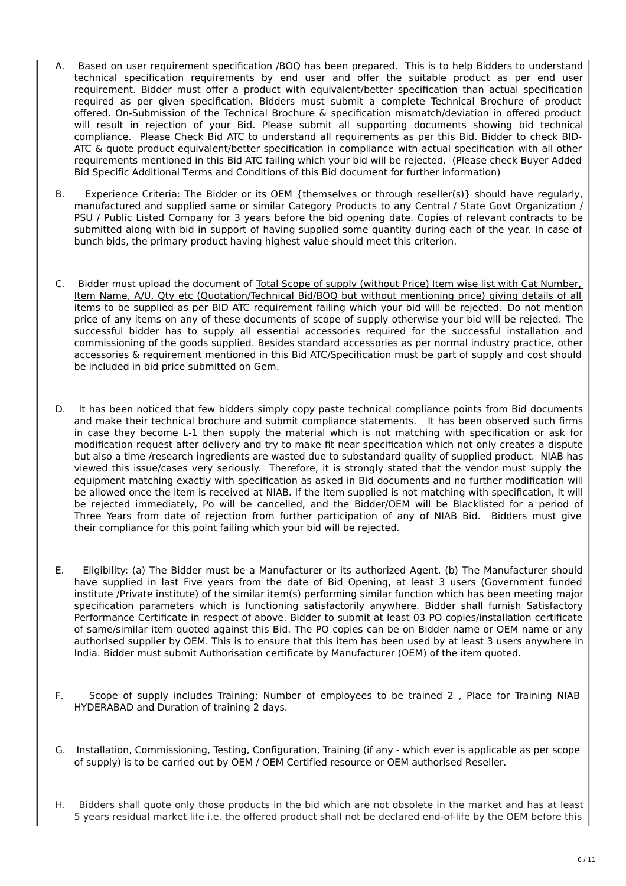- A. Based on user requirement specification /BOQ has been prepared. This is to help Bidders to understand technical specification requirements by end user and offer the suitable product as per end user requirement. Bidder must offer a product with equivalent/better specification than actual specification required as per given specification. Bidders must submit a complete Technical Brochure of product offered. On-Submission of the Technical Brochure & specification mismatch/deviation in offered product will result in rejection of your Bid. Please submit all supporting documents showing bid technical compliance. Please Check Bid ATC to understand all requirements as per this Bid. Bidder to check BID-ATC & quote product equivalent/better specification in compliance with actual specification with all other requirements mentioned in this Bid ATC failing which your bid will be rejected. (Please check Buyer Added Bid Specific Additional Terms and Conditions of this Bid document for further information)
- B. Experience Criteria: The Bidder or its OEM {themselves or through reseller(s)} should have regularly, manufactured and supplied same or similar Category Products to any Central / State Govt Organization / PSU / Public Listed Company for 3 years before the bid opening date. Copies of relevant contracts to be submitted along with bid in support of having supplied some quantity during each of the year. In case of bunch bids, the primary product having highest value should meet this criterion.
- C. Bidder must upload the document of Total Scope of supply (without Price) Item wise list with Cat Number, Item Name, A/U, Qty etc (Quotation/Technical Bid/BOQ but without mentioning price) giving details of all items to be supplied as per BID ATC requirement failing which your bid will be rejected. Do not mention price of any items on any of these documents of scope of supply otherwise your bid will be rejected. The successful bidder has to supply all essential accessories required for the successful installation and commissioning of the goods supplied. Besides standard accessories as per normal industry practice, other accessories & requirement mentioned in this Bid ATC/Specification must be part of supply and cost should be included in bid price submitted on Gem.
- D. It has been noticed that few bidders simply copy paste technical compliance points from Bid documents and make their technical brochure and submit compliance statements. It has been observed such firms in case they become L-1 then supply the material which is not matching with specification or ask for modification request after delivery and try to make fit near specification which not only creates a dispute but also a time /research ingredients are wasted due to substandard quality of supplied product. NIAB has viewed this issue/cases very seriously. Therefore, it is strongly stated that the vendor must supply the equipment matching exactly with specification as asked in Bid documents and no further modification will be allowed once the item is received at NIAB. If the item supplied is not matching with specification, It will be rejected immediately, Po will be cancelled, and the Bidder/OEM will be Blacklisted for a period of Three Years from date of rejection from further participation of any of NIAB Bid. Bidders must give their compliance for this point failing which your bid will be rejected.
- E. Eligibility: (a) The Bidder must be a Manufacturer or its authorized Agent. (b) The Manufacturer should have supplied in last Five years from the date of Bid Opening, at least 3 users (Government funded institute /Private institute) of the similar item(s) performing similar function which has been meeting major specification parameters which is functioning satisfactorily anywhere. Bidder shall furnish Satisfactory Performance Certificate in respect of above. Bidder to submit at least 03 PO copies/installation certificate of same/similar item quoted against this Bid. The PO copies can be on Bidder name or OEM name or any authorised supplier by OEM. This is to ensure that this item has been used by at least 3 users anywhere in India. Bidder must submit Authorisation certificate by Manufacturer (OEM) of the item quoted.
- F. Scope of supply includes Training: Number of employees to be trained 2 , Place for Training NIAB HYDERABAD and Duration of training 2 days.
- G. Installation, Commissioning, Testing, Configuration, Training (if any which ever is applicable as per scope of supply) is to be carried out by OEM / OEM Certified resource or OEM authorised Reseller.
- H. Bidders shall quote only those products in the bid which are not obsolete in the market and has at least 5 years residual market life i.e. the offered product shall not be declared end-of-life by the OEM before this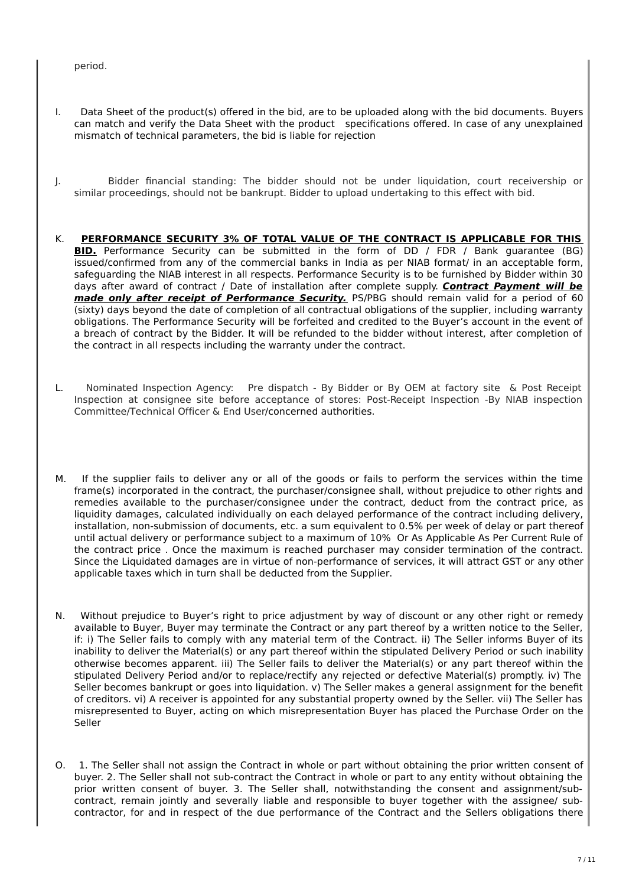period.

- I. Data Sheet of the product(s) offered in the bid, are to be uploaded along with the bid documents. Buyers can match and verify the Data Sheet with the product specifications offered. In case of any unexplained mismatch of technical parameters, the bid is liable for rejection
- J. Bidder financial standing: The bidder should not be under liquidation, court receivership or similar proceedings, should not be bankrupt. Bidder to upload undertaking to this effect with bid.
- K. **PERFORMANCE SECURITY 3% OF TOTAL VALUE OF THE CONTRACT IS APPLICABLE FOR THIS BID.** Performance Security can be submitted in the form of DD / FDR / Bank guarantee (BG) issued/confirmed from any of the commercial banks in India as per NIAB format/ in an acceptable form, safeguarding the NIAB interest in all respects. Performance Security is to be furnished by Bidder within 30 days after award of contract / Date of installation after complete supply. **Contract Payment will be made only after receipt of Performance Security.** PS/PBG should remain valid for a period of 60 (sixty) days beyond the date of completion of all contractual obligations of the supplier, including warranty obligations. The Performance Security will be forfeited and credited to the Buyer's account in the event of a breach of contract by the Bidder. It will be refunded to the bidder without interest, after completion of the contract in all respects including the warranty under the contract.
- L. Nominated Inspection Agency: Pre dispatch By Bidder or By OEM at factory site & Post Receipt Inspection at consignee site before acceptance of stores: Post-Receipt Inspection -By NIAB inspection Committee/Technical Officer & End User/concerned authorities.
- M. If the supplier fails to deliver any or all of the goods or fails to perform the services within the time frame(s) incorporated in the contract, the purchaser/consignee shall, without prejudice to other rights and remedies available to the purchaser/consignee under the contract, deduct from the contract price, as liquidity damages, calculated individually on each delayed performance of the contract including delivery, installation, non-submission of documents, etc. a sum equivalent to 0.5% per week of delay or part thereof until actual delivery or performance subject to a maximum of 10% Or As Applicable As Per Current Rule of the contract price . Once the maximum is reached purchaser may consider termination of the contract. Since the Liquidated damages are in virtue of non-performance of services, it will attract GST or any other applicable taxes which in turn shall be deducted from the Supplier.
- N. Without prejudice to Buyer's right to price adjustment by way of discount or any other right or remedy available to Buyer, Buyer may terminate the Contract or any part thereof by a written notice to the Seller, if: i) The Seller fails to comply with any material term of the Contract. ii) The Seller informs Buyer of its inability to deliver the Material(s) or any part thereof within the stipulated Delivery Period or such inability otherwise becomes apparent. iii) The Seller fails to deliver the Material(s) or any part thereof within the stipulated Delivery Period and/or to replace/rectify any rejected or defective Material(s) promptly. iv) The Seller becomes bankrupt or goes into liquidation. v) The Seller makes a general assignment for the benefit of creditors. vi) A receiver is appointed for any substantial property owned by the Seller. vii) The Seller has misrepresented to Buyer, acting on which misrepresentation Buyer has placed the Purchase Order on the Seller
- O. 1. The Seller shall not assign the Contract in whole or part without obtaining the prior written consent of buyer. 2. The Seller shall not sub-contract the Contract in whole or part to any entity without obtaining the prior written consent of buyer. 3. The Seller shall, notwithstanding the consent and assignment/subcontract, remain jointly and severally liable and responsible to buyer together with the assignee/ subcontractor, for and in respect of the due performance of the Contract and the Sellers obligations there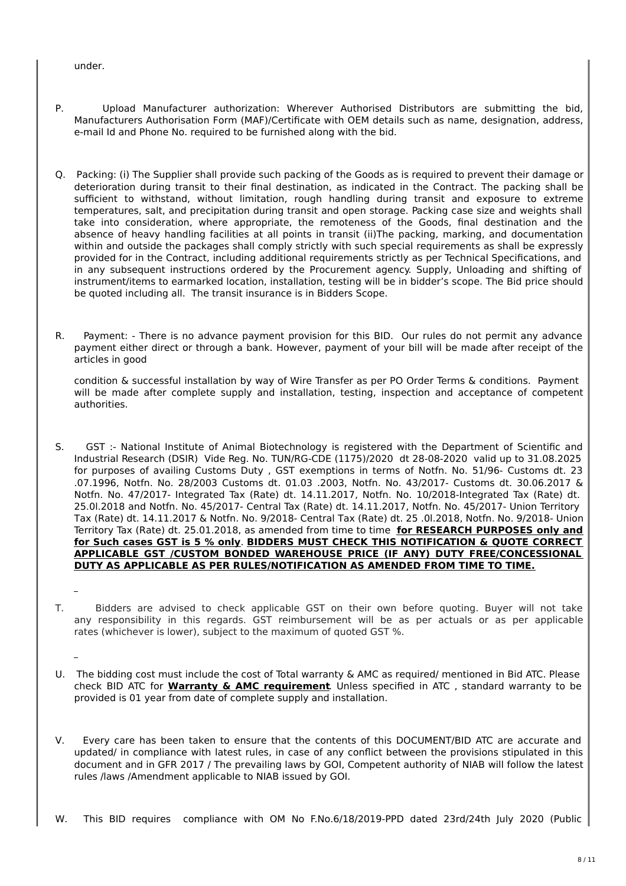under.

- P. Upload Manufacturer authorization: Wherever Authorised Distributors are submitting the bid, Manufacturers Authorisation Form (MAF)/Certificate with OEM details such as name, designation, address, e-mail Id and Phone No. required to be furnished along with the bid.
- Q. Packing: (i) The Supplier shall provide such packing of the Goods as is required to prevent their damage or deterioration during transit to their final destination, as indicated in the Contract. The packing shall be sufficient to withstand, without limitation, rough handling during transit and exposure to extreme temperatures, salt, and precipitation during transit and open storage. Packing case size and weights shall take into consideration, where appropriate, the remoteness of the Goods, final destination and the absence of heavy handling facilities at all points in transit (ii)The packing, marking, and documentation within and outside the packages shall comply strictly with such special requirements as shall be expressly provided for in the Contract, including additional requirements strictly as per Technical Specifications, and in any subsequent instructions ordered by the Procurement agency. Supply, Unloading and shifting of instrument/items to earmarked location, installation, testing will be in bidder's scope. The Bid price should be quoted including all. The transit insurance is in Bidders Scope.
- R. Payment: There is no advance payment provision for this BID. Our rules do not permit any advance payment either direct or through a bank. However, payment of your bill will be made after receipt of the articles in good

condition & successful installation by way of Wire Transfer as per PO Order Terms & conditions. Payment will be made after complete supply and installation, testing, inspection and acceptance of competent authorities.

- S. GST :- National Institute of Animal Biotechnology is registered with the Department of Scientific and Industrial Research (DSIR) Vide Reg. No. TUN/RG-CDE (1175)/2020 dt 28-08-2020 valid up to 31.08.2025 for purposes of availing Customs Duty , GST exemptions in terms of Notfn. No. 51/96- Customs dt. 23 .07.1996, Notfn. No. 28/2003 Customs dt. 01.03 .2003, Notfn. No. 43/2017- Customs dt. 30.06.2017 & Notfn. No. 47/2017- Integrated Tax (Rate) dt. 14.11.2017, Notfn. No. 10/2018-Integrated Tax (Rate) dt. 25.0l.2018 and Notfn. No. 45/2017- Central Tax (Rate) dt. 14.11.2017, Notfn. No. 45/2017- Union Territory Tax (Rate) dt. 14.11.2017 & Notfn. No. 9/2018- Central Tax (Rate) dt. 25 .0l.2018, Notfn. No. 9/2018- Union Territory Tax (Rate) dt. 25.01.2018, as amended from time to time **for RESEARCH PURPOSES only and for Such cases GST is 5 % only**. **BIDDERS MUST CHECK THIS NOTIFICATION & QUOTE CORRECT APPLICABLE GST /CUSTOM BONDED WAREHOUSE PRICE (IF ANY) DUTY FREE/CONCESSIONAL DUTY AS APPLICABLE AS PER RULES/NOTIFICATION AS AMENDED FROM TIME TO TIME.**
- T. Bidders are advised to check applicable GST on their own before quoting. Buyer will not take any responsibility in this regards. GST reimbursement will be as per actuals or as per applicable rates (whichever is lower), subject to the maximum of quoted GST %.
- U. The bidding cost must include the cost of Total warranty & AMC as required/ mentioned in Bid ATC. Please check BID ATC for **Warranty & AMC requirement**. Unless specified in ATC , standard warranty to be provided is 01 year from date of complete supply and installation.
- V. Every care has been taken to ensure that the contents of this DOCUMENT/BID ATC are accurate and updated/ in compliance with latest rules, in case of any conflict between the provisions stipulated in this document and in GFR 2017 / The prevailing laws by GOI, Competent authority of NIAB will follow the latest rules /laws /Amendment applicable to NIAB issued by GOI.

W. This BID requires compliance with OM No F.No.6/18/2019-PPD dated 23rd/24th July 2020 (Public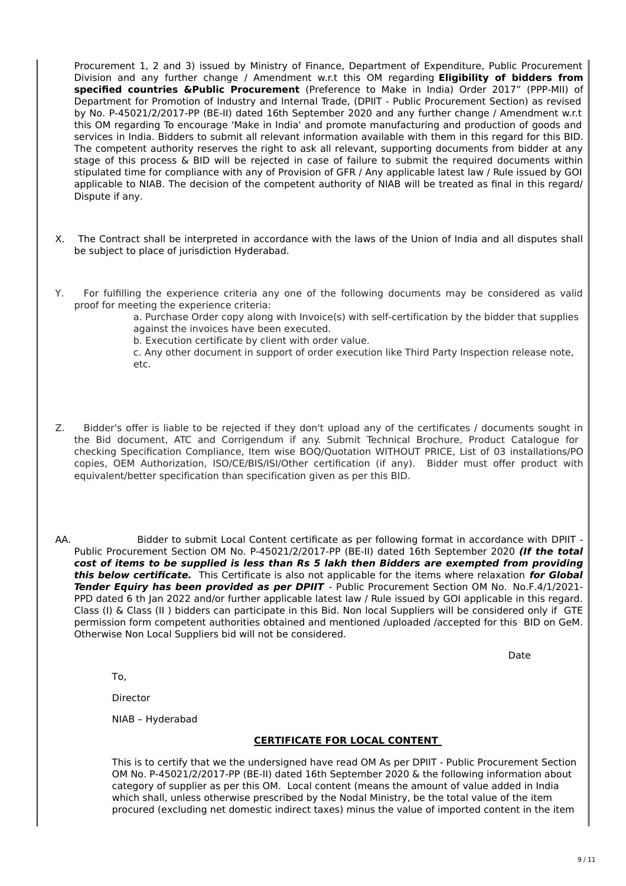Procurement 1, 2 and 3) issued by Ministry of Finance, Department of Expenditure, Public Procurement Division and any further change / Amendment w.r.t this OM regarding **Eligibility of bidders from specified countries &Public Procurement** (Preference to Make in India) Order 2017" (PPP-MII) of Department for Promotion of Industry and Internal Trade, (DPIIT - Public Procurement Section) as revised by No. P-45021/2/2017-PP (BE-II) dated 16th September 2020 and any further change / Amendment w.r.t this OM regarding To encourage 'Make in India' and promote manufacturing and production of goods and services in India. Bidders to submit all relevant information available with them in this regard for this BID. The competent authority reserves the right to ask all relevant, supporting documents from bidder at any stage of this process & BID will be rejected in case of failure to submit the required documents within stipulated time for compliance with any of Provision of GFR / Any applicable latest law / Rule issued by GOI applicable to NIAB. The decision of the competent authority of NIAB will be treated as final in this regard/ Dispute if any.

- X. The Contract shall be interpreted in accordance with the laws of the Union of India and all disputes shall be subject to place of jurisdiction Hyderabad.
- Y. For fulfilling the experience criteria any one of the following documents may be considered as valid proof for meeting the experience criteria:

a. Purchase Order copy along with Invoice(s) with self-certification by the bidder that supplies against the invoices have been executed.

b. Execution certificate by client with order value.

c. Any other document in support of order execution like Third Party Inspection release note, etc.

- Z. Bidder's offer is liable to be rejected if they don't upload any of the certificates / documents sought in the Bid document, ATC and Corrigendum if any. Submit Technical Brochure, Product Catalogue for checking Specification Compliance, Item wise BOQ/Quotation WITHOUT PRICE, List of 03 installations/PO copies, OEM Authorization, ISO/CE/BIS/ISI/Other certification (if any). Bidder must offer product with equivalent/better specification than specification given as per this BID.
- AA. Bidder to submit Local Content certificate as per following format in accordance with DPIIT -Public Procurement Section OM No. P-45021/2/2017-PP (BE-II) dated 16th September 2020 **(If the total cost of items to be supplied is less than Rs 5 lakh then Bidders are exempted from providing this below certificate.** This Certificate is also not applicable for the items where relaxation **for Global Tender Equiry has been provided as per DPIIT** - Public Procurement Section OM No. No.F.4/1/2021- PPD dated 6 th Jan 2022 and/or further applicable latest law / Rule issued by GOI applicable in this regard. Class (I) & Class (II ) bidders can participate in this Bid. Non local Suppliers will be considered only if GTE permission form competent authorities obtained and mentioned /uploaded /accepted for this BID on GeM. Otherwise Non Local Suppliers bid will not be considered.

Date

To,

Director

NIAB – Hyderabad

#### **CERTIFICATE FOR LOCAL CONTENT**

This is to certify that we the undersigned have read OM As per DPIIT - Public Procurement Section OM No. P-45021/2/2017-PP (BE-II) dated 16th September 2020 & the following information about category of supplier as per this OM. Local content (means the amount of value added in India which shall, unless otherwise prescribed by the Nodal Ministry, be the total value of the item procured (excluding net domestic indirect taxes) minus the value of imported content in the item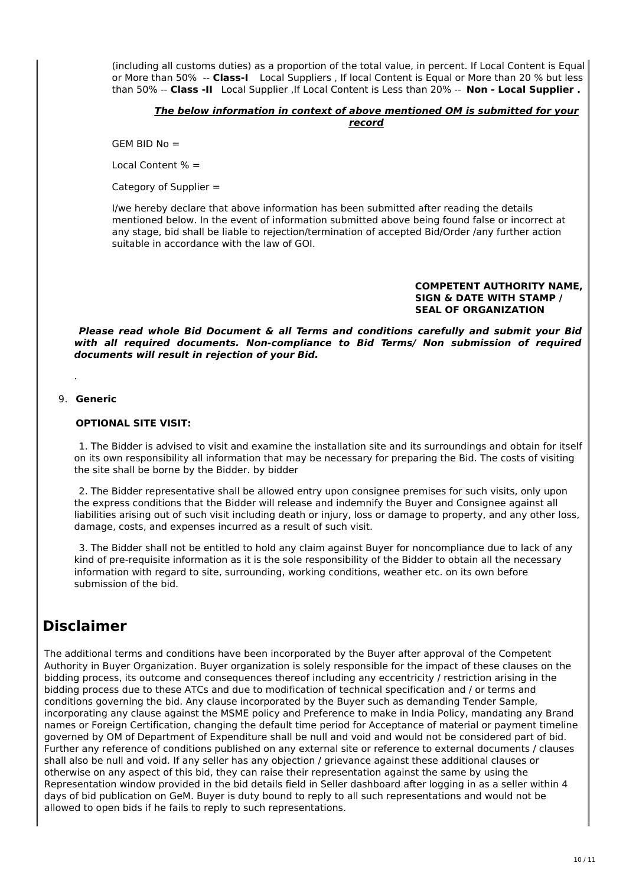(including all customs duties) as a proportion of the total value, in percent. If Local Content is Equal or More than 50% -- **Class-I** Local Suppliers , If local Content is Equal or More than 20 % but less than 50% -- **Class -II** Local Supplier ,If Local Content is Less than 20% -- **Non - Local Supplier .**

#### **The below information in context of above mentioned OM is submitted for your record**

GEM BID No =

Local Content % =

Category of Supplier =

I/we hereby declare that above information has been submitted after reading the details mentioned below. In the event of information submitted above being found false or incorrect at any stage, bid shall be liable to rejection/termination of accepted Bid/Order /any further action suitable in accordance with the law of GOI.

#### **COMPETENT AUTHORITY NAME, SIGN & DATE WITH STAMP / SEAL OF ORGANIZATION**

**Please read whole Bid Document & all Terms and conditions carefully and submit your Bid with all required documents. Non-compliance to Bid Terms/ Non submission of required documents will result in rejection of your Bid.**

9. **Generic**

.

#### **OPTIONAL SITE VISIT:**

1. The Bidder is advised to visit and examine the installation site and its surroundings and obtain for itself on its own responsibility all information that may be necessary for preparing the Bid. The costs of visiting the site shall be borne by the Bidder. by bidder

2. The Bidder representative shall be allowed entry upon consignee premises for such visits, only upon the express conditions that the Bidder will release and indemnify the Buyer and Consignee against all liabilities arising out of such visit including death or injury, loss or damage to property, and any other loss, damage, costs, and expenses incurred as a result of such visit.

3. The Bidder shall not be entitled to hold any claim against Buyer for noncompliance due to lack of any kind of pre-requisite information as it is the sole responsibility of the Bidder to obtain all the necessary information with regard to site, surrounding, working conditions, weather etc. on its own before submission of the bid.

## **Disclaimer**

The additional terms and conditions have been incorporated by the Buyer after approval of the Competent Authority in Buyer Organization. Buyer organization is solely responsible for the impact of these clauses on the bidding process, its outcome and consequences thereof including any eccentricity / restriction arising in the bidding process due to these ATCs and due to modification of technical specification and / or terms and conditions governing the bid. Any clause incorporated by the Buyer such as demanding Tender Sample, incorporating any clause against the MSME policy and Preference to make in India Policy, mandating any Brand names or Foreign Certification, changing the default time period for Acceptance of material or payment timeline governed by OM of Department of Expenditure shall be null and void and would not be considered part of bid. Further any reference of conditions published on any external site or reference to external documents / clauses shall also be null and void. If any seller has any objection / grievance against these additional clauses or otherwise on any aspect of this bid, they can raise their representation against the same by using the Representation window provided in the bid details field in Seller dashboard after logging in as a seller within 4 days of bid publication on GeM. Buyer is duty bound to reply to all such representations and would not be allowed to open bids if he fails to reply to such representations.